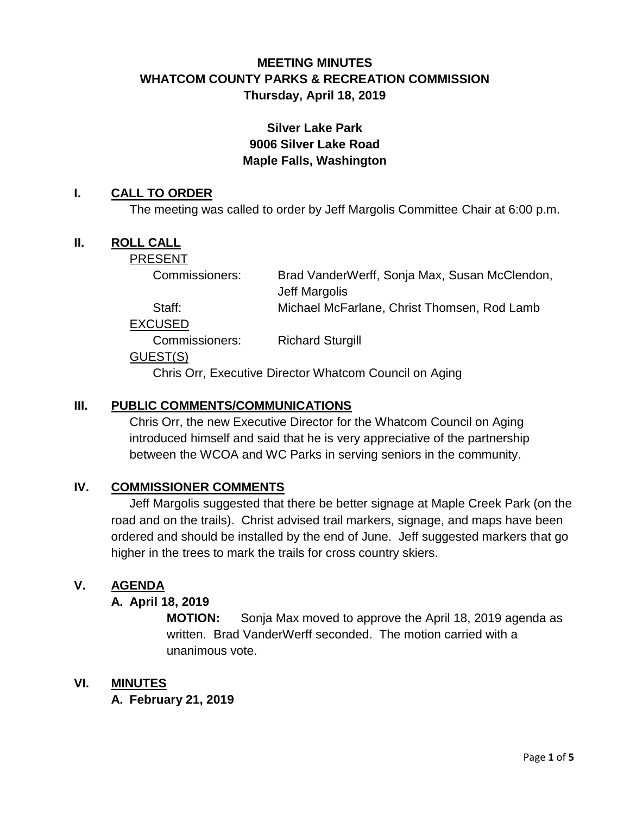# **MEETING MINUTES WHATCOM COUNTY PARKS & RECREATION COMMISSION Thursday, April 18, 2019**

## **Silver Lake Park 9006 Silver Lake Road Maple Falls, Washington**

### **I. CALL TO ORDER**

The meeting was called to order by Jeff Margolis Committee Chair at 6:00 p.m.

### **II. ROLL CALL**

PRESENT

| Commissioners: | Brad VanderWerff, Sonja Max, Susan McClendon, |
|----------------|-----------------------------------------------|
|                | Jeff Margolis                                 |
| Staff:         | Michael McFarlane, Christ Thomsen, Rod Lamb   |
| <b>EXCUSED</b> |                                               |

Commissioners: Richard Sturgill

#### GUEST(S)

Chris Orr, Executive Director Whatcom Council on Aging

### **III. PUBLIC COMMENTS/COMMUNICATIONS**

Chris Orr, the new Executive Director for the Whatcom Council on Aging introduced himself and said that he is very appreciative of the partnership between the WCOA and WC Parks in serving seniors in the community.

## **IV. COMMISSIONER COMMENTS**

Jeff Margolis suggested that there be better signage at Maple Creek Park (on the road and on the trails). Christ advised trail markers, signage, and maps have been ordered and should be installed by the end of June. Jeff suggested markers that go higher in the trees to mark the trails for cross country skiers.

## **V. AGENDA**

#### **A. April 18, 2019**

**MOTION:** Sonja Max moved to approve the April 18, 2019 agenda as written. Brad VanderWerff seconded. The motion carried with a unanimous vote.

## **VI. MINUTES**

**A. February 21, 2019**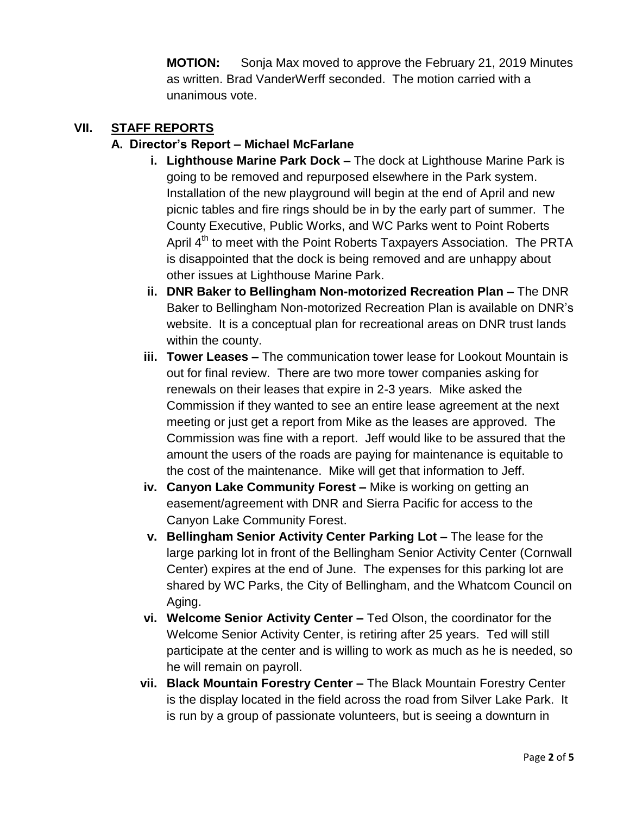**MOTION:** Sonja Max moved to approve the February 21, 2019 Minutes as written. Brad VanderWerff seconded. The motion carried with a unanimous vote.

### **VII. STAFF REPORTS**

### **A. Director's Report – Michael McFarlane**

- **i. Lighthouse Marine Park Dock –** The dock at Lighthouse Marine Park is going to be removed and repurposed elsewhere in the Park system. Installation of the new playground will begin at the end of April and new picnic tables and fire rings should be in by the early part of summer. The County Executive, Public Works, and WC Parks went to Point Roberts April 4<sup>th</sup> to meet with the Point Roberts Taxpayers Association. The PRTA is disappointed that the dock is being removed and are unhappy about other issues at Lighthouse Marine Park.
- **ii. DNR Baker to Bellingham Non-motorized Recreation Plan –** The DNR Baker to Bellingham Non-motorized Recreation Plan is available on DNR's website. It is a conceptual plan for recreational areas on DNR trust lands within the county.
- **iii. Tower Leases –** The communication tower lease for Lookout Mountain is out for final review. There are two more tower companies asking for renewals on their leases that expire in 2-3 years. Mike asked the Commission if they wanted to see an entire lease agreement at the next meeting or just get a report from Mike as the leases are approved. The Commission was fine with a report. Jeff would like to be assured that the amount the users of the roads are paying for maintenance is equitable to the cost of the maintenance. Mike will get that information to Jeff.
- **iv. Canyon Lake Community Forest –** Mike is working on getting an easement/agreement with DNR and Sierra Pacific for access to the Canyon Lake Community Forest.
- **v. Bellingham Senior Activity Center Parking Lot –** The lease for the large parking lot in front of the Bellingham Senior Activity Center (Cornwall Center) expires at the end of June. The expenses for this parking lot are shared by WC Parks, the City of Bellingham, and the Whatcom Council on Aging.
- **vi. Welcome Senior Activity Center –** Ted Olson, the coordinator for the Welcome Senior Activity Center, is retiring after 25 years. Ted will still participate at the center and is willing to work as much as he is needed, so he will remain on payroll.
- **vii. Black Mountain Forestry Center –** The Black Mountain Forestry Center is the display located in the field across the road from Silver Lake Park. It is run by a group of passionate volunteers, but is seeing a downturn in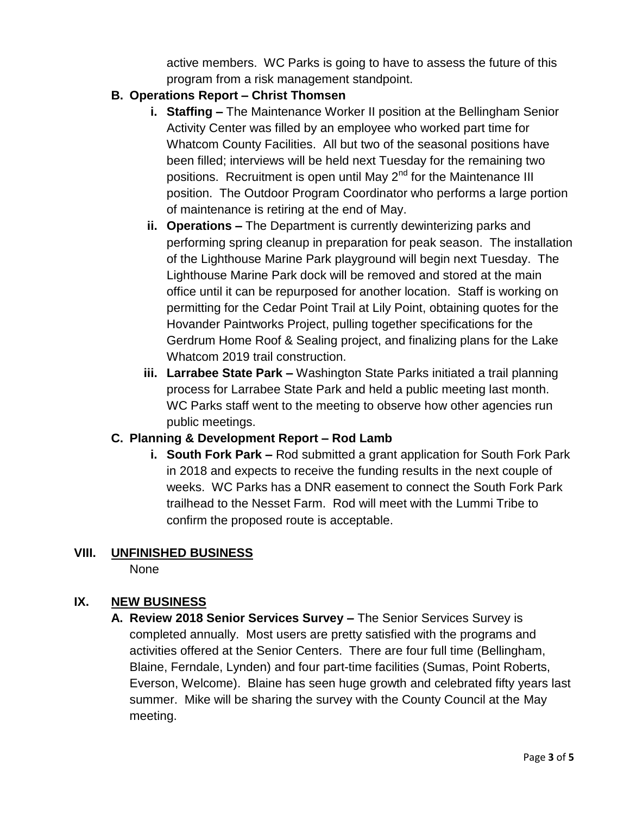active members. WC Parks is going to have to assess the future of this program from a risk management standpoint.

## **B. Operations Report – Christ Thomsen**

- **i. Staffing –** The Maintenance Worker II position at the Bellingham Senior Activity Center was filled by an employee who worked part time for Whatcom County Facilities. All but two of the seasonal positions have been filled; interviews will be held next Tuesday for the remaining two positions. Recruitment is open until May  $2<sup>nd</sup>$  for the Maintenance III position. The Outdoor Program Coordinator who performs a large portion of maintenance is retiring at the end of May.
- **ii. Operations –** The Department is currently dewinterizing parks and performing spring cleanup in preparation for peak season. The installation of the Lighthouse Marine Park playground will begin next Tuesday. The Lighthouse Marine Park dock will be removed and stored at the main office until it can be repurposed for another location. Staff is working on permitting for the Cedar Point Trail at Lily Point, obtaining quotes for the Hovander Paintworks Project, pulling together specifications for the Gerdrum Home Roof & Sealing project, and finalizing plans for the Lake Whatcom 2019 trail construction.
- **iii. Larrabee State Park –** Washington State Parks initiated a trail planning process for Larrabee State Park and held a public meeting last month. WC Parks staff went to the meeting to observe how other agencies run public meetings.

## **C. Planning & Development Report – Rod Lamb**

**i. South Fork Park –** Rod submitted a grant application for South Fork Park in 2018 and expects to receive the funding results in the next couple of weeks. WC Parks has a DNR easement to connect the South Fork Park trailhead to the Nesset Farm. Rod will meet with the Lummi Tribe to confirm the proposed route is acceptable.

## **VIII. UNFINISHED BUSINESS**

None

# **IX. NEW BUSINESS**

**A. Review 2018 Senior Services Survey –** The Senior Services Survey is completed annually. Most users are pretty satisfied with the programs and activities offered at the Senior Centers. There are four full time (Bellingham, Blaine, Ferndale, Lynden) and four part-time facilities (Sumas, Point Roberts, Everson, Welcome). Blaine has seen huge growth and celebrated fifty years last summer. Mike will be sharing the survey with the County Council at the May meeting.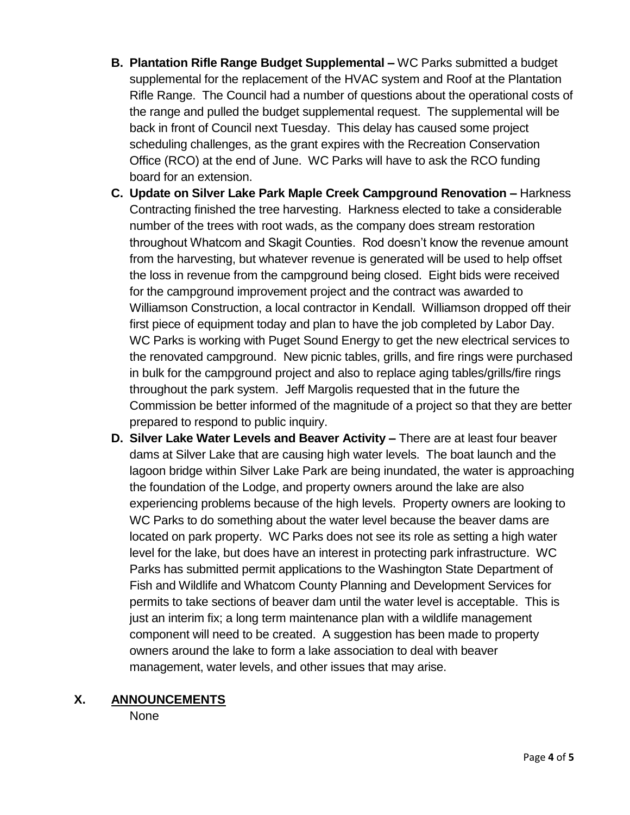- **B. Plantation Rifle Range Budget Supplemental –** WC Parks submitted a budget supplemental for the replacement of the HVAC system and Roof at the Plantation Rifle Range. The Council had a number of questions about the operational costs of the range and pulled the budget supplemental request. The supplemental will be back in front of Council next Tuesday. This delay has caused some project scheduling challenges, as the grant expires with the Recreation Conservation Office (RCO) at the end of June. WC Parks will have to ask the RCO funding board for an extension.
- **C. Update on Silver Lake Park Maple Creek Campground Renovation –** Harkness Contracting finished the tree harvesting. Harkness elected to take a considerable number of the trees with root wads, as the company does stream restoration throughout Whatcom and Skagit Counties. Rod doesn't know the revenue amount from the harvesting, but whatever revenue is generated will be used to help offset the loss in revenue from the campground being closed. Eight bids were received for the campground improvement project and the contract was awarded to Williamson Construction, a local contractor in Kendall. Williamson dropped off their first piece of equipment today and plan to have the job completed by Labor Day. WC Parks is working with Puget Sound Energy to get the new electrical services to the renovated campground. New picnic tables, grills, and fire rings were purchased in bulk for the campground project and also to replace aging tables/grills/fire rings throughout the park system. Jeff Margolis requested that in the future the Commission be better informed of the magnitude of a project so that they are better prepared to respond to public inquiry.
- **D. Silver Lake Water Levels and Beaver Activity –** There are at least four beaver dams at Silver Lake that are causing high water levels. The boat launch and the lagoon bridge within Silver Lake Park are being inundated, the water is approaching the foundation of the Lodge, and property owners around the lake are also experiencing problems because of the high levels. Property owners are looking to WC Parks to do something about the water level because the beaver dams are located on park property. WC Parks does not see its role as setting a high water level for the lake, but does have an interest in protecting park infrastructure. WC Parks has submitted permit applications to the Washington State Department of Fish and Wildlife and Whatcom County Planning and Development Services for permits to take sections of beaver dam until the water level is acceptable. This is just an interim fix; a long term maintenance plan with a wildlife management component will need to be created. A suggestion has been made to property owners around the lake to form a lake association to deal with beaver management, water levels, and other issues that may arise.

#### **X. ANNOUNCEMENTS**

None